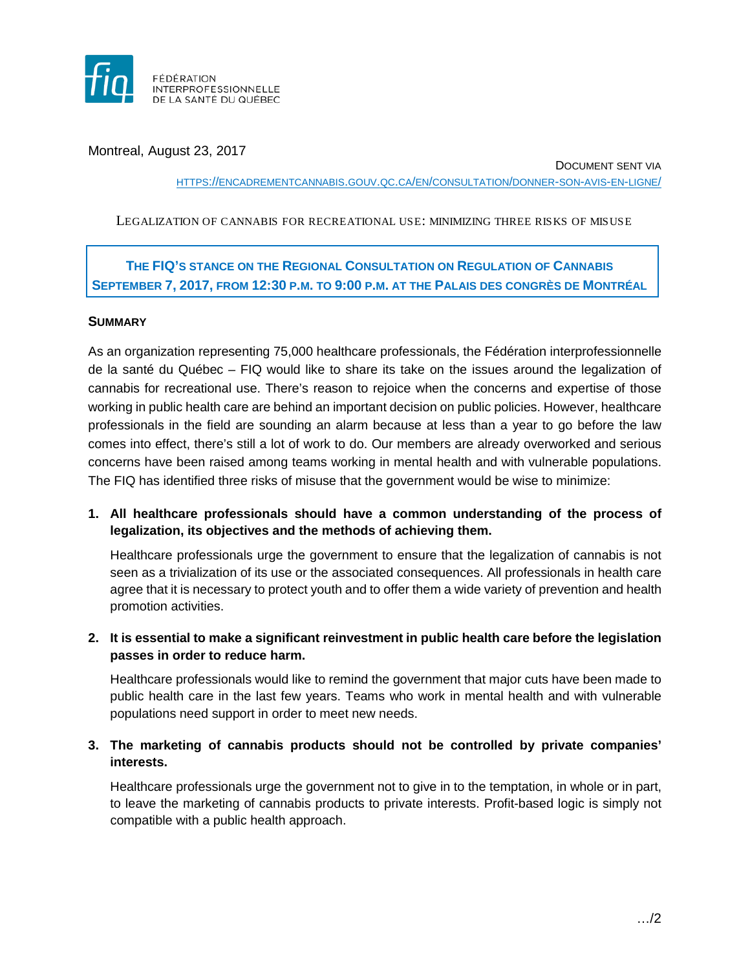

Montreal, August 23, 2017

DOCUMENT SENT VIA HTTPS://ENCADREMENTCANNABIS.GOUV.QC.CA/EN/CONSULTATION/DONNER-SON-AVIS-EN-LIGNE/

LEGALIZATION OF CANNABIS FOR RECREATIONAL USE: MINIMIZING THREE RISKS OF MISUSE

# **THE FIQ'S STANCE ON THE REGIONAL CONSULTATION ON REGULATION OF CANNABIS SEPTEMBER 7, 2017, FROM 12:30 P.M. TO 9:00 P.M. AT THE PALAIS DES CONGRÈS DE MONTRÉAL**

### **SUMMARY**

As an organization representing 75,000 healthcare professionals, the Fédération interprofessionnelle de la santé du Québec – FIQ would like to share its take on the issues around the legalization of cannabis for recreational use. There's reason to rejoice when the concerns and expertise of those working in public health care are behind an important decision on public policies. However, healthcare professionals in the field are sounding an alarm because at less than a year to go before the law comes into effect, there's still a lot of work to do. Our members are already overworked and serious concerns have been raised among teams working in mental health and with vulnerable populations. The FIQ has identified three risks of misuse that the government would be wise to minimize:

**1. All healthcare professionals should have a common understanding of the process of legalization, its objectives and the methods of achieving them.**

Healthcare professionals urge the government to ensure that the legalization of cannabis is not seen as a trivialization of its use or the associated consequences. All professionals in health care agree that it is necessary to protect youth and to offer them a wide variety of prevention and health promotion activities.

**2. It is essential to make a significant reinvestment in public health care before the legislation passes in order to reduce harm.**

Healthcare professionals would like to remind the government that major cuts have been made to public health care in the last few years. Teams who work in mental health and with vulnerable populations need support in order to meet new needs.

## **3. The marketing of cannabis products should not be controlled by private companies' interests.**

Healthcare professionals urge the government not to give in to the temptation, in whole or in part, to leave the marketing of cannabis products to private interests. Profit-based logic is simply not compatible with a public health approach.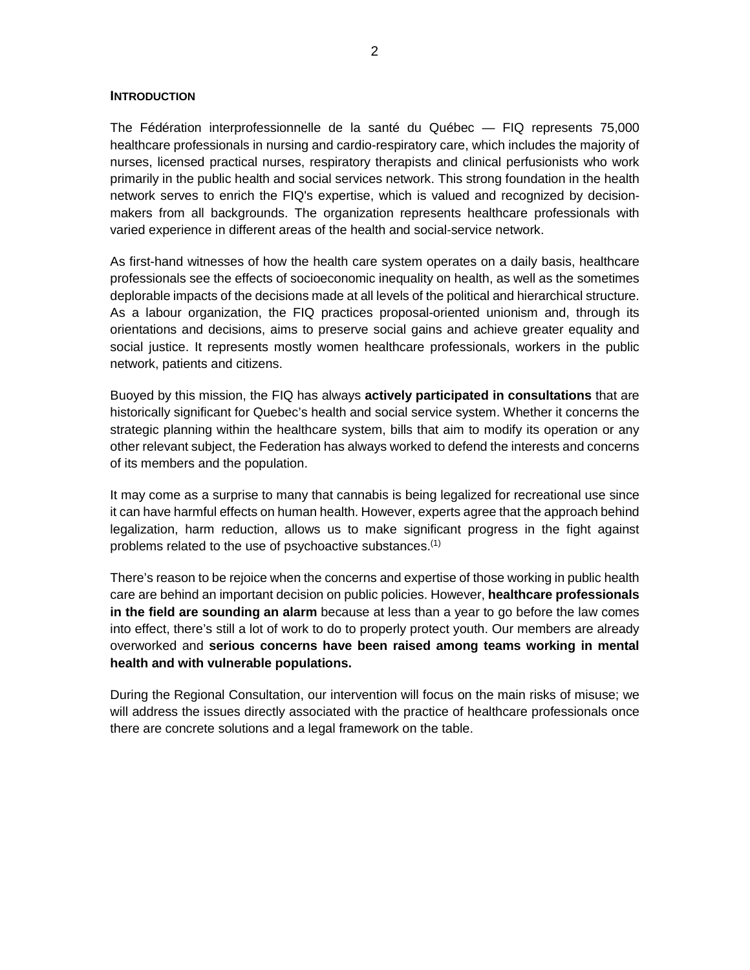#### **INTRODUCTION**

The Fédération interprofessionnelle de la santé du Québec — FIQ represents 75,000 healthcare professionals in nursing and cardio-respiratory care, which includes the majority of nurses, licensed practical nurses, respiratory therapists and clinical perfusionists who work primarily in the public health and social services network. This strong foundation in the health network serves to enrich the FIQ's expertise, which is valued and recognized by decisionmakers from all backgrounds. The organization represents healthcare professionals with varied experience in different areas of the health and social-service network.

As first-hand witnesses of how the health care system operates on a daily basis, healthcare professionals see the effects of socioeconomic inequality on health, as well as the sometimes deplorable impacts of the decisions made at all levels of the political and hierarchical structure. As a labour organization, the FIQ practices proposal-oriented unionism and, through its orientations and decisions, aims to preserve social gains and achieve greater equality and social justice. It represents mostly women healthcare professionals, workers in the public network, patients and citizens.

Buoyed by this mission, the FIQ has always **actively participated in consultations** that are historically significant for Quebec's health and social service system. Whether it concerns the strategic planning within the healthcare system, bills that aim to modify its operation or any other relevant subject, the Federation has always worked to defend the interests and concerns of its members and the population.

It may come as a surprise to many that cannabis is being legalized for recreational use since it can have harmful effects on human health. However, experts agree that the approach behind legalization, harm reduction, allows us to make significant progress in the fight against problems related to the use of psychoactive substances.<sup>(1)</sup>

There's reason to be rejoice when the concerns and expertise of those working in public health care are behind an important decision on public policies. However, **healthcare professionals in the field are sounding an alarm** because at less than a year to go before the law comes into effect, there's still a lot of work to do to properly protect youth. Our members are already overworked and **serious concerns have been raised among teams working in mental health and with vulnerable populations.**

During the Regional Consultation, our intervention will focus on the main risks of misuse; we will address the issues directly associated with the practice of healthcare professionals once there are concrete solutions and a legal framework on the table.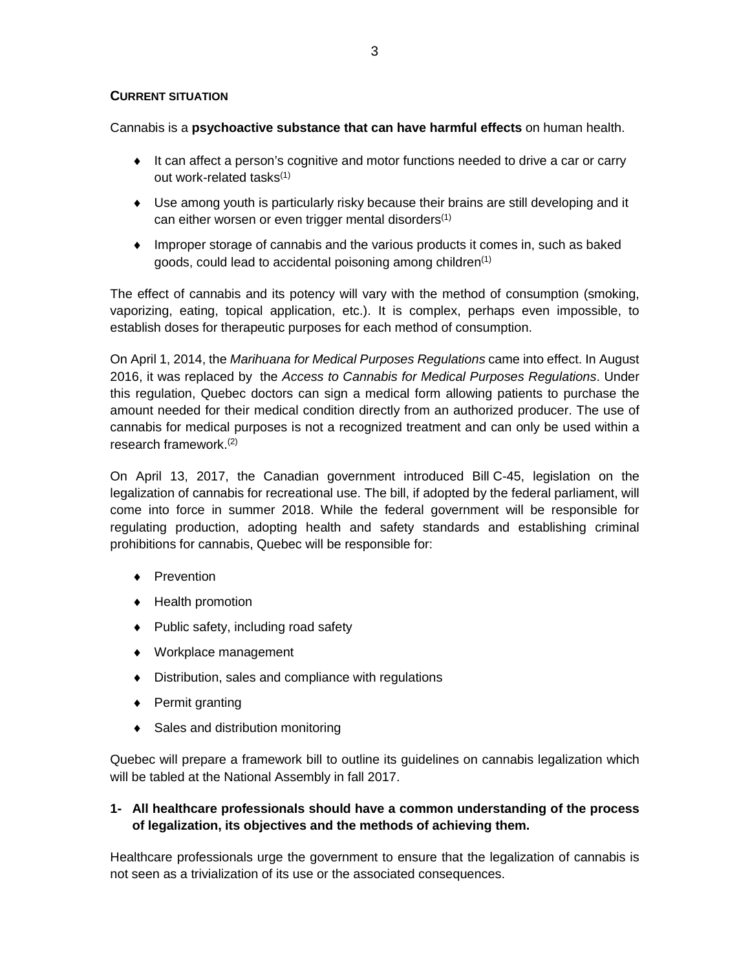#### **CURRENT SITUATION**

Cannabis is a **psychoactive substance that can have harmful effects** on human health.

- ♦ It can affect a person's cognitive and motor functions needed to drive a car or carry out work-related tasks<sup>(1)</sup>
- ♦ Use among youth is particularly risky because their brains are still developing and it can either worsen or even trigger mental disorders $(1)$
- ♦ Improper storage of cannabis and the various products it comes in, such as baked goods, could lead to accidental poisoning among children $(1)$

The effect of cannabis and its potency will vary with the method of consumption (smoking, vaporizing, eating, topical application, etc.). It is complex, perhaps even impossible, to establish doses for therapeutic purposes for each method of consumption.

On April 1, 2014, the *Marihuana for Medical Purposes Regulations* came into effect. In August 2016, it was replaced by the *[Access to Cannabis for Medical Purposes Regulations](http://laws-lois.justice.gc.ca/eng/regulations/SOR-2016-230/index.html)*. Under this regulation, Quebec doctors can sign a medical form allowing patients to purchase the amount needed for their medical condition directly from an authorized producer. The use of cannabis for medical purposes is not a recognized treatment and can only be used within a research framework.(2)

On April 13, 2017, the Canadian government introduced Bill [C-45, legislation on the](http://www.parl.ca/DocumentViewer/en/42-1/bill/C-45/first-reading)  [legalization of cannabis for recreational use.](http://www.parl.ca/DocumentViewer/en/42-1/bill/C-45/first-reading) The bill, if adopted by the federal parliament, will come into force in summer 2018. While the federal government will be responsible for regulating production, adopting health and safety standards and establishing criminal prohibitions for cannabis, Quebec will be responsible for:

- ♦ Prevention
- ♦ Health promotion
- ♦ Public safety, including road safety
- ♦ Workplace management
- ♦ Distribution, sales and compliance with regulations
- ♦ Permit granting
- ♦ Sales and distribution monitoring

Quebec will prepare a framework bill to outline its guidelines on cannabis legalization which will be tabled at the National Assembly in fall 2017.

### **1- All healthcare professionals should have a common understanding of the process of legalization, its objectives and the methods of achieving them.**

Healthcare professionals urge the government to ensure that the legalization of cannabis is not seen as a trivialization of its use or the associated consequences.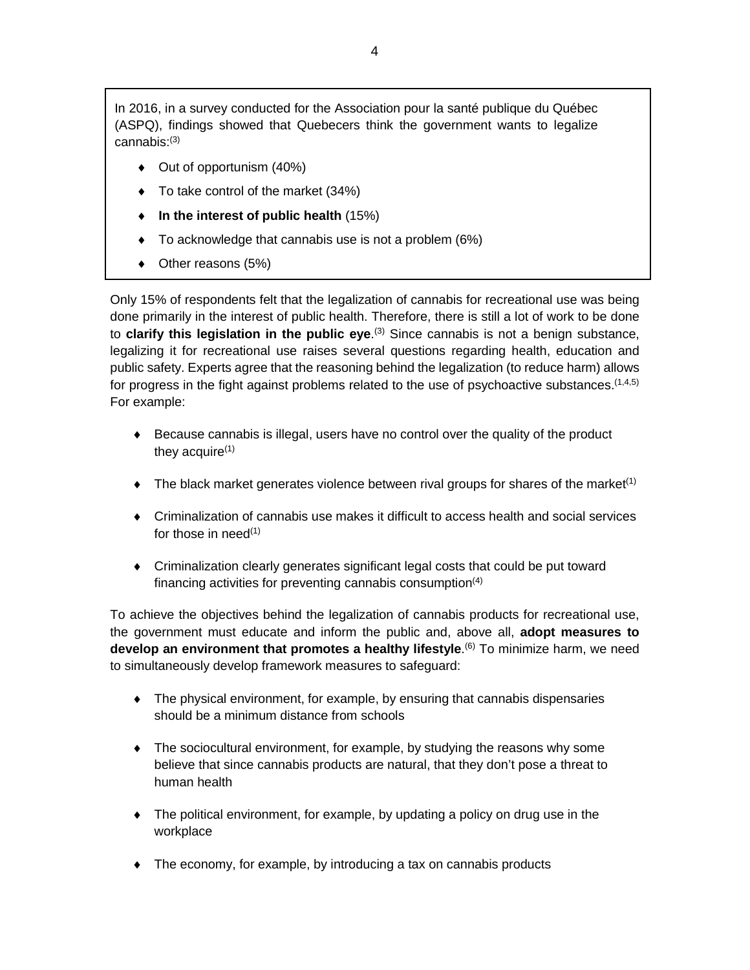In 2016, in a survey conducted for the Association pour la santé publique du Québec (ASPQ), findings showed that Quebecers think the government wants to legalize cannabis:(3)

- ♦ Out of opportunism (40%)
- ♦ To take control of the market (34%)
- ♦ **In the interest of public health** (15%)
- ♦ To acknowledge that cannabis use is not a problem (6%)
- ◆ Other reasons (5%)

Only 15% of respondents felt that the legalization of cannabis for recreational use was being done primarily in the interest of public health. Therefore, there is still a lot of work to be done to **clarify this legislation in the public eye**.<sup>(3)</sup> Since cannabis is not a benign substance, legalizing it for recreational use raises several questions regarding health, education and public safety. Experts agree that the reasoning behind the legalization (to reduce harm) allows for progress in the fight against problems related to the use of psychoactive substances.  $(1,4,5)$ For example:

- $\triangle$  Because cannabis is illegal, users have no control over the quality of the product they acquire $(1)$
- $\bullet$  The black market generates violence between rival groups for shares of the market<sup>(1)</sup>
- ♦ Criminalization of cannabis use makes it difficult to access health and social services for those in need $(1)$
- ♦ Criminalization clearly generates significant legal costs that could be put toward financing activities for preventing cannabis consumption $(4)$

To achieve the objectives behind the legalization of cannabis products for recreational use, the government must educate and inform the public and, above all, **adopt measures to**  develop an environment that promotes a healthy lifestyle.<sup>(6)</sup> To minimize harm, we need to simultaneously develop framework measures to safeguard:

- $\bullet$  The physical environment, for example, by ensuring that cannabis dispensaries should be a minimum distance from schools
- ♦ The sociocultural environment, for example, by studying the reasons why some believe that since cannabis products are natural, that they don't pose a threat to human health
- ♦ The political environment, for example, by updating a policy on drug use in the workplace
- ♦ The economy, for example, by introducing a tax on cannabis products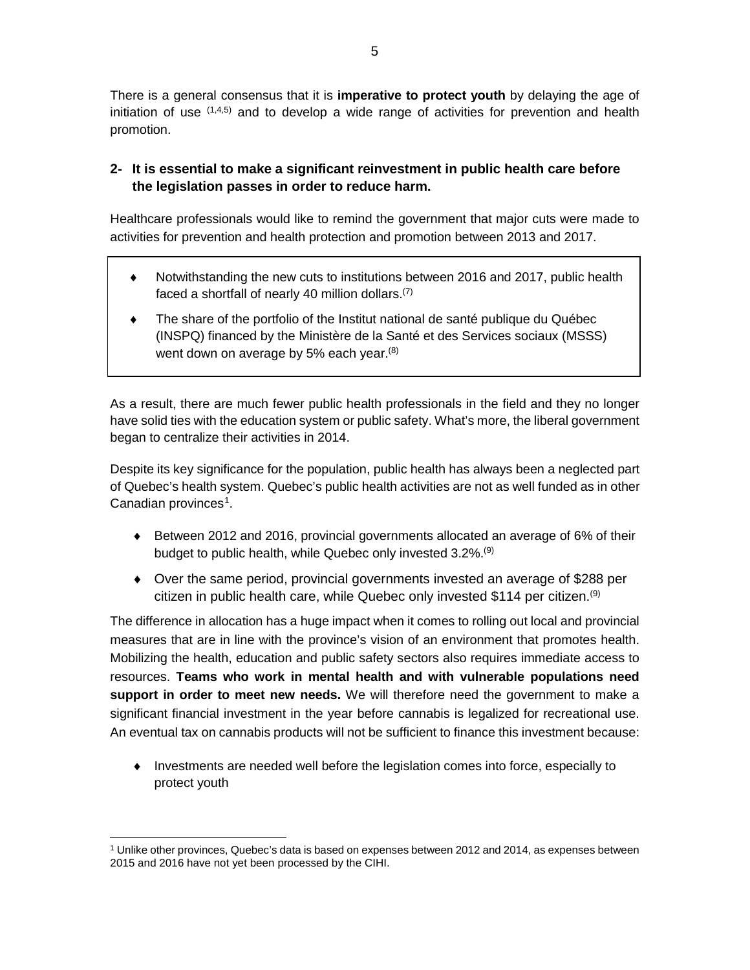There is a general consensus that it is **imperative to protect youth** by delaying the age of initiation of use  $(1,4,5)$  and to develop a wide range of activities for prevention and health promotion.

# **2- It is essential to make a significant reinvestment in public health care before the legislation passes in order to reduce harm.**

Healthcare professionals would like to remind the government that major cuts were made to activities for prevention and health protection and promotion between 2013 and 2017.

- ♦ Notwithstanding the new cuts to institutions between 2016 and 2017, public health faced a shortfall of nearly 40 million dollars.(7)
- The share of the portfolio of the Institut national de santé publique du Québec (INSPQ) financed by the Ministère de la Santé et des Services sociaux (MSSS) went down on average by 5% each year.<sup>(8)</sup>

As a result, there are much fewer public health professionals in the field and they no longer have solid ties with the education system or public safety. What's more, the liberal government began to centralize their activities in 2014.

Despite its key significance for the population, public health has always been a neglected part of Quebec's health system. Quebec's public health activities are not as well funded as in other Canadian provinces<sup>[1](#page-4-0)</sup>.

- ♦ Between 2012 and 2016, provincial governments allocated an average of 6% of their budget to public health, while Quebec only invested 3.2%.<sup>(9)</sup>
- ♦ Over the same period, provincial governments invested an average of \$288 per citizen in public health care, while Quebec only invested \$114 per citizen.<sup>(9)</sup>

The difference in allocation has a huge impact when it comes to rolling out local and provincial measures that are in line with the province's vision of an environment that promotes health. Mobilizing the health, education and public safety sectors also requires immediate access to resources. **Teams who work in mental health and with vulnerable populations need support in order to meet new needs.** We will therefore need the government to make a significant financial investment in the year before cannabis is legalized for recreational use. An eventual tax on cannabis products will not be sufficient to finance this investment because:

♦ Investments are needed well before the legislation comes into force, especially to protect youth

<span id="page-4-0"></span> <sup>1</sup> Unlike other provinces, Quebec's data is based on expenses between 2012 and 2014, as expenses between 2015 and 2016 have not yet been processed by the CIHI.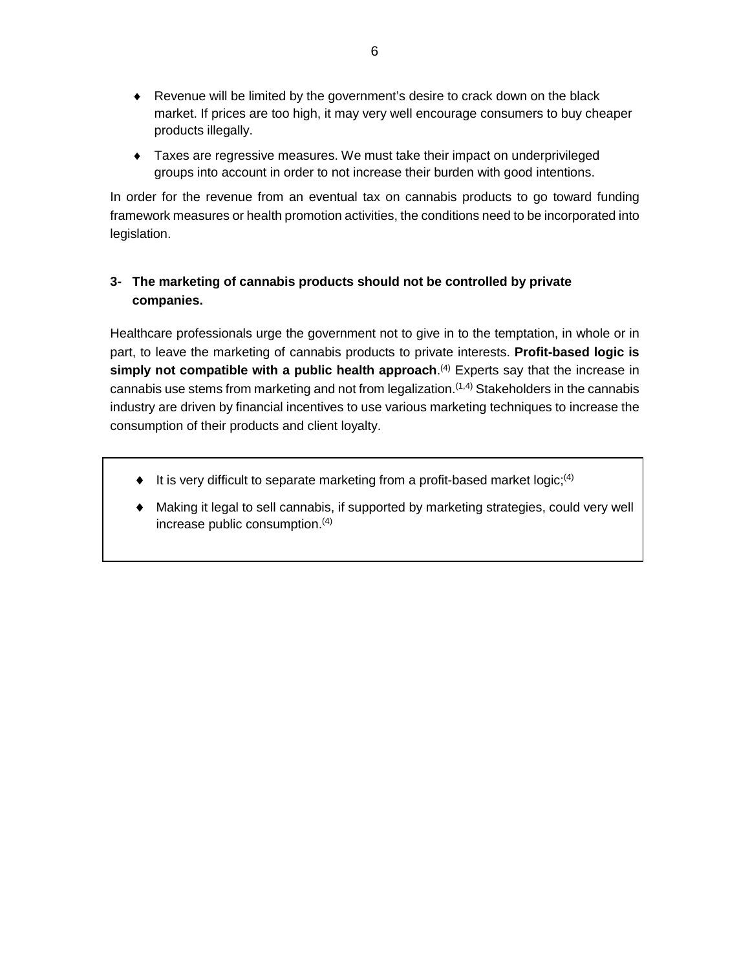- ♦ Revenue will be limited by the government's desire to crack down on the black market. If prices are too high, it may very well encourage consumers to buy cheaper products illegally.
- ♦ Taxes are regressive measures. We must take their impact on underprivileged groups into account in order to not increase their burden with good intentions.

In order for the revenue from an eventual tax on cannabis products to go toward funding framework measures or health promotion activities, the conditions need to be incorporated into legislation.

# **3- The marketing of cannabis products should not be controlled by private companies.**

Healthcare professionals urge the government not to give in to the temptation, in whole or in part, to leave the marketing of cannabis products to private interests. **Profit-based logic is**  simply not compatible with a public health approach.<sup>(4)</sup> Experts say that the increase in cannabis use stems from marketing and not from legalization.<sup> $(1,4)$ </sup> Stakeholders in the cannabis industry are driven by financial incentives to use various marketing techniques to increase the consumption of their products and client loyalty.

- $\bullet$  It is very difficult to separate marketing from a profit-based market logic;<sup>(4)</sup>
- Making it legal to sell cannabis, if supported by marketing strategies, could very well increase public consumption.<sup>(4)</sup>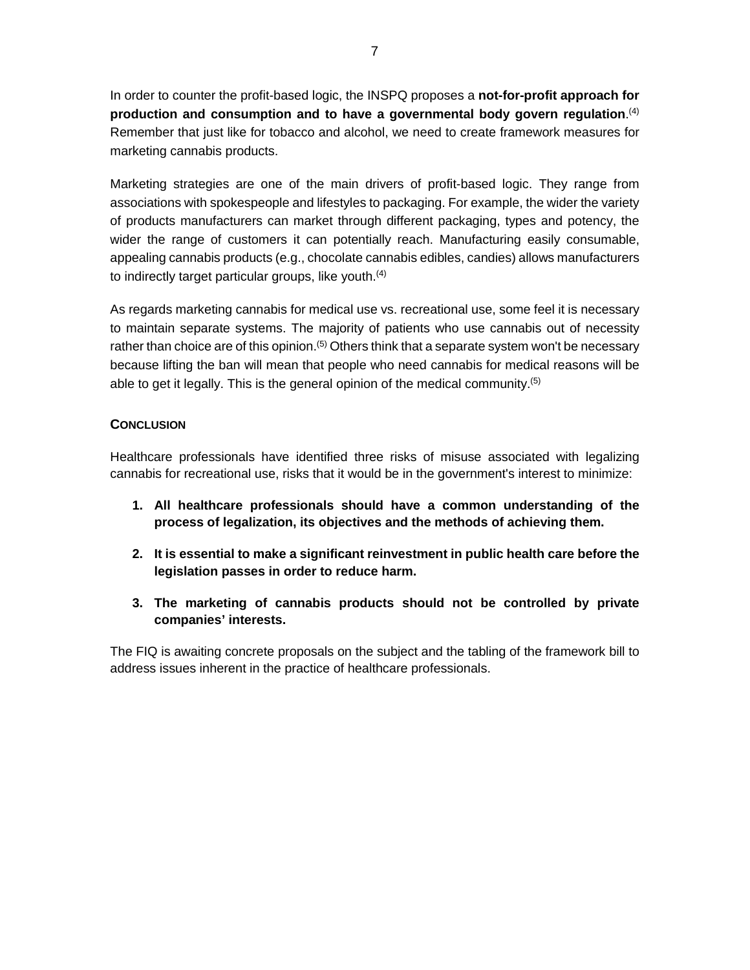In order to counter the profit-based logic, the INSPQ proposes a **not-for-profit approach for production and consumption and to have a governmental body govern regulation**. (4) Remember that just like for tobacco and alcohol, we need to create framework measures for marketing cannabis products.

Marketing strategies are one of the main drivers of profit-based logic. They range from associations with spokespeople and lifestyles to packaging. For example, the wider the variety of products manufacturers can market through different packaging, types and potency, the wider the range of customers it can potentially reach. Manufacturing easily consumable, appealing cannabis products (e.g., chocolate cannabis edibles, candies) allows manufacturers to indirectly target particular groups, like youth.<sup>(4)</sup>

As regards marketing cannabis for medical use vs. recreational use, some feel it is necessary to maintain separate systems. The majority of patients who use cannabis out of necessity rather than choice are of this opinion.<sup>(5)</sup> Others think that a separate system won't be necessary because lifting the ban will mean that people who need cannabis for medical reasons will be able to get it legally. This is the general opinion of the medical community.(5)

### **CONCLUSION**

Healthcare professionals have identified three risks of misuse associated with legalizing cannabis for recreational use, risks that it would be in the government's interest to minimize:

- **1. All healthcare professionals should have a common understanding of the process of legalization, its objectives and the methods of achieving them.**
- **2. It is essential to make a significant reinvestment in public health care before the legislation passes in order to reduce harm.**
- **3. The marketing of cannabis products should not be controlled by private companies' interests.**

The FIQ is awaiting concrete proposals on the subject and the tabling of the framework bill to address issues inherent in the practice of healthcare professionals.